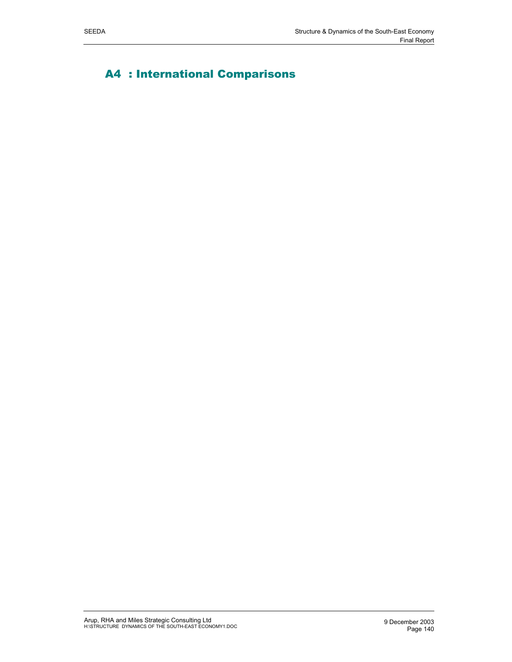# A4 : International Comparisons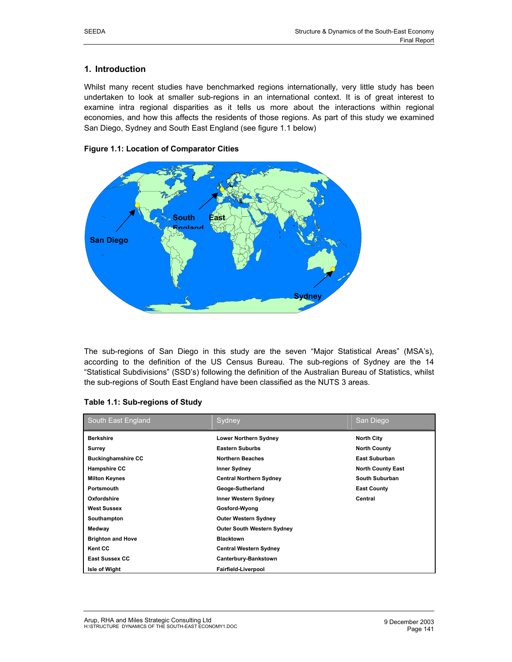# **1. Introduction**

Whilst many recent studies have benchmarked regions internationally, very little study has been undertaken to look at smaller sub-regions in an international context. It is of great interest to examine intra regional disparities as it tells us more about the interactions within regional economies, and how this affects the residents of those regions. As part of this study we examined San Diego, Sydney and South East England (see figure 1.1 below)



## **Figure 1.1: Location of Comparator Cities**

The sub-regions of San Diego in this study are the seven "Major Statistical Areas" (MSA's), according to the definition of the US Census Bureau. The sub-regions of Sydney are the 14 "Statistical Subdivisions" (SSD's) following the definition of the Australian Bureau of Statistics, whilst the sub-regions of South East England have been classified as the NUTS 3 areas.

| South East England        | Sydney                            | San Diego                |
|---------------------------|-----------------------------------|--------------------------|
| <b>Berkshire</b>          | <b>Lower Northern Sydney</b>      | <b>North City</b>        |
| Surrey                    | <b>Eastern Suburbs</b>            | <b>North County</b>      |
| <b>Buckinghamshire CC</b> | <b>Northern Beaches</b>           | <b>East Suburban</b>     |
| <b>Hampshire CC</b>       | <b>Inner Sydney</b>               | <b>North County East</b> |
| <b>Milton Keynes</b>      | <b>Central Northern Sydney</b>    | South Suburban           |
| Portsmouth                | Geoge-Sutherland                  | <b>East County</b>       |
| Oxfordshire               | <b>Inner Western Sydney</b>       | Central                  |
| <b>West Sussex</b>        | Gosford-Wyong                     |                          |
| Southampton               | <b>Outer Western Sydney</b>       |                          |
| Medway                    | <b>Outer South Western Sydney</b> |                          |
| <b>Brighton and Hove</b>  | <b>Blacktown</b>                  |                          |
| <b>Kent CC</b>            | <b>Central Western Sydney</b>     |                          |
| <b>East Sussex CC</b>     | Canterbury-Bankstown              |                          |
| Isle of Wight             | Fairfield-Liverpool               |                          |

#### **Table 1.1: Sub-regions of Study**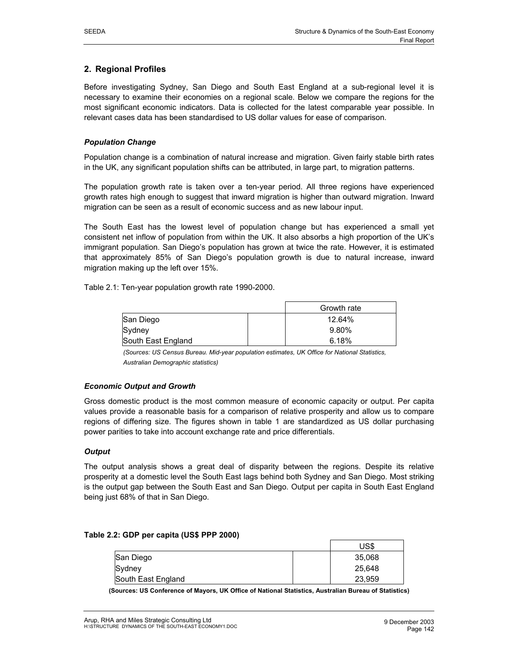# **2. Regional Profiles**

Before investigating Sydney, San Diego and South East England at a sub-regional level it is necessary to examine their economies on a regional scale. Below we compare the regions for the most significant economic indicators. Data is collected for the latest comparable year possible. In relevant cases data has been standardised to US dollar values for ease of comparison.

#### *Population Change*

Population change is a combination of natural increase and migration. Given fairly stable birth rates in the UK, any significant population shifts can be attributed, in large part, to migration patterns.

The population growth rate is taken over a ten-year period. All three regions have experienced growth rates high enough to suggest that inward migration is higher than outward migration. Inward migration can be seen as a result of economic success and as new labour input.

The South East has the lowest level of population change but has experienced a small yet consistent net inflow of population from within the UK. It also absorbs a high proportion of the UK's immigrant population. San Diego's population has grown at twice the rate. However, it is estimated that approximately 85% of San Diego's population growth is due to natural increase, inward migration making up the left over 15%.

Table 2.1: Ten-year population growth rate 1990-2000.

|                    | Growth rate |
|--------------------|-------------|
| San Diego          | 12.64%      |
| Sydney             | 9.80%       |
| South East England | 6.18%       |

*(Sources: US Census Bureau. Mid-year population estimates, UK Office for National Statistics, Australian Demographic statistics)* 

#### *Economic Output and Growth*

Gross domestic product is the most common measure of economic capacity or output. Per capita values provide a reasonable basis for a comparison of relative prosperity and allow us to compare regions of differing size. The figures shown in table 1 are standardized as US dollar purchasing power parities to take into account exchange rate and price differentials.

#### *Output*

The output analysis shows a great deal of disparity between the regions. Despite its relative prosperity at a domestic level the South East lags behind both Sydney and San Diego. Most striking is the output gap between the South East and San Diego. Output per capita in South East England being just 68% of that in San Diego.

|                    | US\$   |
|--------------------|--------|
| <b>San Diego</b>   | 35.068 |
| Sydney             | 25,648 |
| South East England | 23,959 |

#### **Table 2.2: GDP per capita (US\$ PPP 2000)**

**(Sources: US Conference of Mayors, UK Office of National Statistics, Australian Bureau of Statistics)**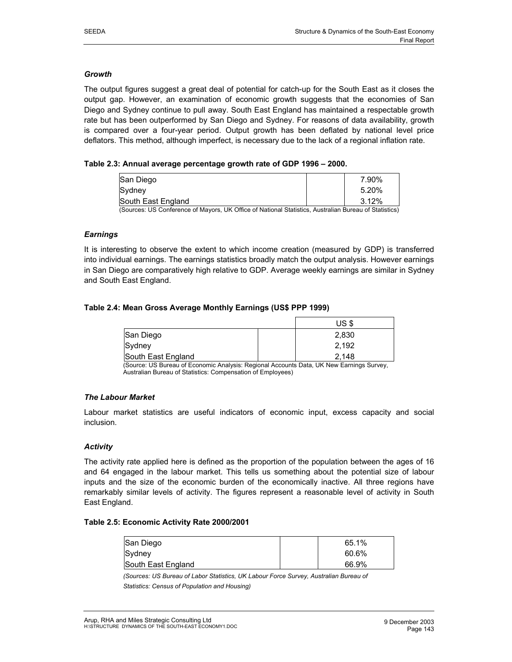#### *Growth*

The output figures suggest a great deal of potential for catch-up for the South East as it closes the output gap. However, an examination of economic growth suggests that the economies of San Diego and Sydney continue to pull away. South East England has maintained a respectable growth rate but has been outperformed by San Diego and Sydney. For reasons of data availability, growth is compared over a four-year period. Output growth has been deflated by national level price deflators. This method, although imperfect, is necessary due to the lack of a regional inflation rate.

### **Table 2.3: Annual average percentage growth rate of GDP 1996 – 2000.**

| San Diego          |   |        |          |                                  |                          | 7.90%                       |
|--------------------|---|--------|----------|----------------------------------|--------------------------|-----------------------------|
| lSvdnev            |   |        |          |                                  |                          | 5.20%                       |
| South East England |   |        |          |                                  |                          | 3.12%                       |
| $\sim$<br>$\cdots$ | . | $   -$ | $\cdots$ | $\cdots$<br>$\ddot{\phantom{1}}$ | $\overline{\phantom{0}}$ | $\sim$ $\sim$ $\sim$ $\sim$ |

(Sources: US Conference of Mayors, UK Office of National Statistics, Australian Bureau of Statistics)

#### *Earnings*

It is interesting to observe the extent to which income creation (measured by GDP) is transferred into individual earnings. The earnings statistics broadly match the output analysis. However earnings in San Diego are comparatively high relative to GDP. Average weekly earnings are similar in Sydney and South East England.

#### **Table 2.4: Mean Gross Average Monthly Earnings (US\$ PPP 1999)**

|                    | US \$ |
|--------------------|-------|
| San Diego          | 2,830 |
| Sydney             | 2,192 |
| South East England | 2.148 |

(Source: US Bureau of Economic Analysis: Regional Accounts Data, UK New Earnings Survey, Australian Bureau of Statistics: Compensation of Employees)

## *The Labour Market*

Labour market statistics are useful indicators of economic input, excess capacity and social inclusion.

#### *Activity*

The activity rate applied here is defined as the proportion of the population between the ages of 16 and 64 engaged in the labour market. This tells us something about the potential size of labour inputs and the size of the economic burden of the economically inactive. All three regions have remarkably similar levels of activity. The figures represent a reasonable level of activity in South East England.

#### **Table 2.5: Economic Activity Rate 2000/2001**

| San Diego          | 65.1% |
|--------------------|-------|
| Sydney             | 60.6% |
| South East England | 66.9% |

*(Sources: US Bureau of Labor Statistics, UK Labour Force Survey, Australian Bureau of* 

*Statistics: Census of Population and Housing)*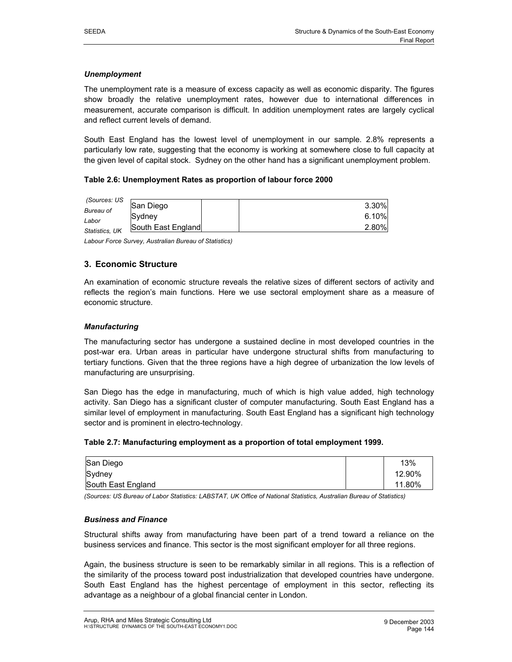#### *Unemployment*

The unemployment rate is a measure of excess capacity as well as economic disparity. The figures show broadly the relative unemployment rates, however due to international differences in measurement, accurate comparison is difficult. In addition unemployment rates are largely cyclical and reflect current levels of demand.

South East England has the lowest level of unemployment in our sample. 2.8% represents a particularly low rate, suggesting that the economy is working at somewhere close to full capacity at the given level of capital stock. Sydney on the other hand has a significant unemployment problem.

#### **Table 2.6: Unemployment Rates as proportion of labour force 2000**

| (Sources: US   |                    |          |
|----------------|--------------------|----------|
|                | San Diego          | 3.30%    |
| Bureau of      |                    |          |
|                | <b>ISvdnev</b>     | $6.10\%$ |
| Labor          |                    |          |
| Statistics, UK | South East England | 2.80%    |
|                |                    |          |

*Labour Force Survey, Australian Bureau of Statistics)* 

# **3. Economic Structure**

An examination of economic structure reveals the relative sizes of different sectors of activity and reflects the region's main functions. Here we use sectoral employment share as a measure of economic structure.

### *Manufacturing*

The manufacturing sector has undergone a sustained decline in most developed countries in the post-war era. Urban areas in particular have undergone structural shifts from manufacturing to tertiary functions. Given that the three regions have a high degree of urbanization the low levels of manufacturing are unsurprising.

San Diego has the edge in manufacturing, much of which is high value added, high technology activity. San Diego has a significant cluster of computer manufacturing. South East England has a similar level of employment in manufacturing. South East England has a significant high technology sector and is prominent in electro-technology.

#### **Table 2.7: Manufacturing employment as a proportion of total employment 1999.**

| San Diego          | 13%    |
|--------------------|--------|
| Sydney             | 12.90% |
| South East England | 11.80% |

*(Sources: US Bureau of Labor Statistics: LABSTAT, UK Office of National Statistics, Australian Bureau of Statistics)* 

#### *Business and Finance*

Structural shifts away from manufacturing have been part of a trend toward a reliance on the business services and finance. This sector is the most significant employer for all three regions.

Again, the business structure is seen to be remarkably similar in all regions. This is a reflection of the similarity of the process toward post industrialization that developed countries have undergone. South East England has the highest percentage of employment in this sector, reflecting its advantage as a neighbour of a global financial center in London.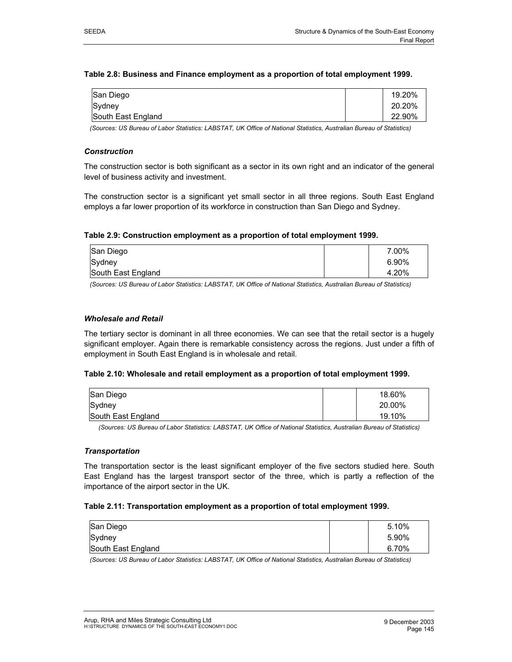#### **Table 2.8: Business and Finance employment as a proportion of total employment 1999.**

| San Diego          | 19.20% |
|--------------------|--------|
| Sydney             | 20.20% |
| South East England | 22.90% |

*(Sources: US Bureau of Labor Statistics: LABSTAT, UK Office of National Statistics, Australian Bureau of Statistics)* 

#### *Construction*

The construction sector is both significant as a sector in its own right and an indicator of the general level of business activity and investment.

The construction sector is a significant yet small sector in all three regions. South East England employs a far lower proportion of its workforce in construction than San Diego and Sydney.

#### **Table 2.9: Construction employment as a proportion of total employment 1999.**

| San Diego          | 7.00% |
|--------------------|-------|
| Sydney             | 6.90% |
| South East England | 4.20% |

*(Sources: US Bureau of Labor Statistics: LABSTAT, UK Office of National Statistics, Australian Bureau of Statistics)* 

#### *Wholesale and Retail*

The tertiary sector is dominant in all three economies. We can see that the retail sector is a hugely significant employer. Again there is remarkable consistency across the regions. Just under a fifth of employment in South East England is in wholesale and retail.

#### **Table 2.10: Wholesale and retail employment as a proportion of total employment 1999.**

| San Diego          | 18.60% |
|--------------------|--------|
| Sydney             | 20.00% |
| South East England | 19.10% |

*(Sources: US Bureau of Labor Statistics: LABSTAT, UK Office of National Statistics, Australian Bureau of Statistics)* 

#### *Transportation*

The transportation sector is the least significant employer of the five sectors studied here. South East England has the largest transport sector of the three, which is partly a reflection of the importance of the airport sector in the UK.

#### **Table 2.11: Transportation employment as a proportion of total employment 1999.**

| San Diego          | 5.10% |
|--------------------|-------|
| Sydney             | 5.90% |
| South East England | 6.70% |

*(Sources: US Bureau of Labor Statistics: LABSTAT, UK Office of National Statistics, Australian Bureau of Statistics)*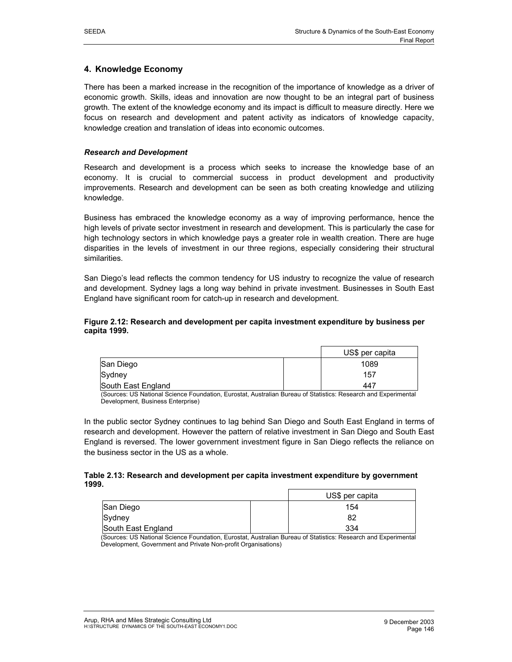# **4. Knowledge Economy**

There has been a marked increase in the recognition of the importance of knowledge as a driver of economic growth. Skills, ideas and innovation are now thought to be an integral part of business growth. The extent of the knowledge economy and its impact is difficult to measure directly. Here we focus on research and development and patent activity as indicators of knowledge capacity, knowledge creation and translation of ideas into economic outcomes.

#### *Research and Development*

Research and development is a process which seeks to increase the knowledge base of an economy. It is crucial to commercial success in product development and productivity improvements. Research and development can be seen as both creating knowledge and utilizing knowledge.

Business has embraced the knowledge economy as a way of improving performance, hence the high levels of private sector investment in research and development. This is particularly the case for high technology sectors in which knowledge pays a greater role in wealth creation. There are huge disparities in the levels of investment in our three regions, especially considering their structural similarities.

San Diego's lead reflects the common tendency for US industry to recognize the value of research and development. Sydney lags a long way behind in private investment. Businesses in South East England have significant room for catch-up in research and development.

#### **Figure 2.12: Research and development per capita investment expenditure by business per capita 1999.**

|                    | US\$ per capita |
|--------------------|-----------------|
| San Diego          | 1089            |
| Sydney             | 157             |
| South East England | 447             |

(Sources: US National Science Foundation, Eurostat, Australian Bureau of Statistics: Research and Experimental Development, Business Enterprise)

In the public sector Sydney continues to lag behind San Diego and South East England in terms of research and development. However the pattern of relative investment in San Diego and South East England is reversed. The lower government investment figure in San Diego reflects the reliance on the business sector in the US as a whole.

#### **Table 2.13: Research and development per capita investment expenditure by government 1999.**

|                    | US\$ per capita |
|--------------------|-----------------|
| San Diego          | 154             |
| Sydney             | 82              |
| South East England | 334             |

(Sources: US National Science Foundation, Eurostat, Australian Bureau of Statistics: Research and Experimental Development, Government and Private Non-profit Organisations)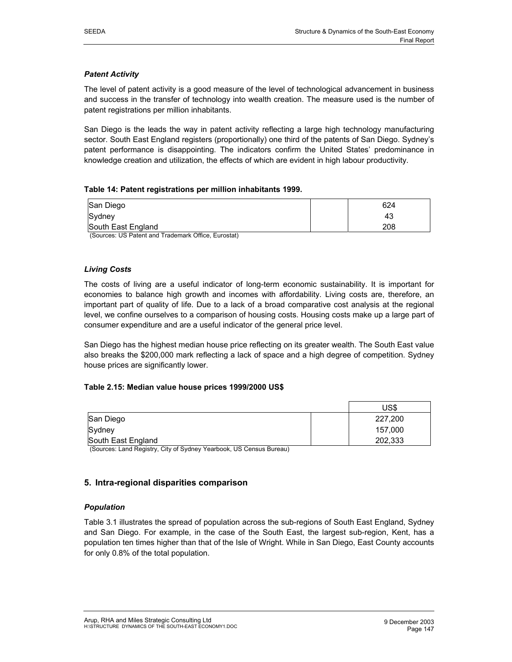### *Patent Activity*

The level of patent activity is a good measure of the level of technological advancement in business and success in the transfer of technology into wealth creation. The measure used is the number of patent registrations per million inhabitants.

San Diego is the leads the way in patent activity reflecting a large high technology manufacturing sector. South East England registers (proportionally) one third of the patents of San Diego. Sydney's patent performance is disappointing. The indicators confirm the United States' predominance in knowledge creation and utilization, the effects of which are evident in high labour productivity.

#### **Table 14: Patent registrations per million inhabitants 1999.**

| San Diego          | 624 |
|--------------------|-----|
| Sydney             | 43  |
| South East England | 208 |

(Sources: US Patent and Trademark Office, Eurostat)

#### *Living Costs*

The costs of living are a useful indicator of long-term economic sustainability. It is important for economies to balance high growth and incomes with affordability. Living costs are, therefore, an important part of quality of life. Due to a lack of a broad comparative cost analysis at the regional level, we confine ourselves to a comparison of housing costs. Housing costs make up a large part of consumer expenditure and are a useful indicator of the general price level.

San Diego has the highest median house price reflecting on its greater wealth. The South East value also breaks the \$200,000 mark reflecting a lack of space and a high degree of competition. Sydney house prices are significantly lower.

#### **Table 2.15: Median value house prices 1999/2000 US\$**

|                    | US\$    |
|--------------------|---------|
| San Diego          | 227,200 |
| Sydney             | 157,000 |
| South East England | 202,333 |

(Sources: Land Registry, City of Sydney Yearbook, US Census Bureau)

## **5. Intra-regional disparities comparison**

#### *Population*

Table 3.1 illustrates the spread of population across the sub-regions of South East England, Sydney and San Diego. For example, in the case of the South East, the largest sub-region, Kent, has a population ten times higher than that of the Isle of Wright. While in San Diego, East County accounts for only 0.8% of the total population.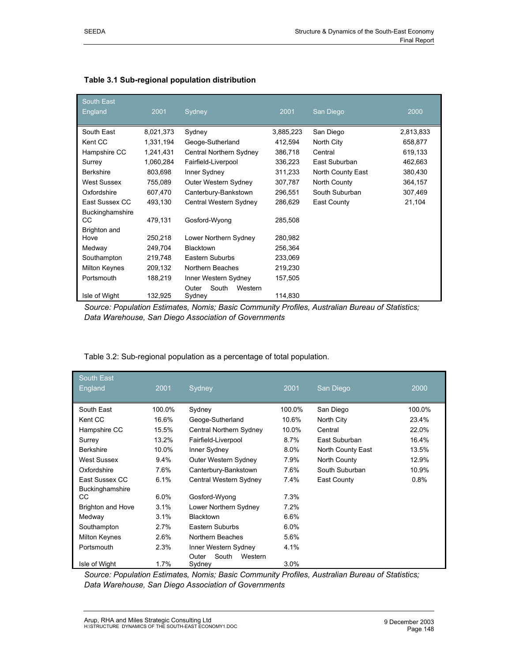| <b>South East</b>    |           |                           |           |                   |           |
|----------------------|-----------|---------------------------|-----------|-------------------|-----------|
| England              | 2001      | Sydney                    | 2001      | San Diego         | 2000      |
| South East           | 8,021,373 | Sydney                    | 3,885,223 | San Diego         | 2,813,833 |
| Kent CC              | 1,331,194 | Geoge-Sutherland          | 412,594   | North City        | 658,877   |
| Hampshire CC         | 1,241,431 | Central Northern Sydney   | 386,718   | Central           | 619,133   |
| Surrey               | 1,060,284 | Fairfield-Liverpool       | 336,223   | East Suburban     | 462,663   |
| <b>Berkshire</b>     | 803,698   | Inner Sydney              | 311,233   | North County East | 380,430   |
| <b>West Sussex</b>   | 755,089   | Outer Western Sydney      | 307,787   | North County      | 364,157   |
| Oxfordshire          | 607,470   | Canterbury-Bankstown      | 296,551   | South Suburban    | 307,469   |
| East Sussex CC       | 493,130   | Central Western Sydney    | 286,629   | East County       | 21,104    |
| Buckinghamshire      |           |                           |           |                   |           |
| CС                   | 479,131   | Gosford-Wyong             | 285,508   |                   |           |
| Brighton and         |           |                           |           |                   |           |
| Hove                 | 250,218   | Lower Northern Sydney     | 280,982   |                   |           |
| Medway               | 249,704   | <b>Blacktown</b>          | 256,364   |                   |           |
| Southampton          | 219,748   | Eastern Suburbs           | 233,069   |                   |           |
| <b>Milton Keynes</b> | 209,132   | Northern Beaches          | 219,230   |                   |           |
| Portsmouth           | 188,219   | Inner Western Sydney      | 157,505   |                   |           |
|                      |           | South<br>Outer<br>Western |           |                   |           |
| Isle of Wight        | 132,925   | Sydney                    | 114,830   |                   |           |

| Table 3.1 Sub-regional population distribution |  |  |
|------------------------------------------------|--|--|
|------------------------------------------------|--|--|

*Source: Population Estimates, Nomis; Basic Community Profiles, Australian Bureau of Statistics; Data Warehouse, San Diego Association of Governments* 

| <b>South East</b>        |         |                                     |         |                   |        |
|--------------------------|---------|-------------------------------------|---------|-------------------|--------|
| England                  | 2001    | Sydney                              | 2001    | San Diego         | 2000   |
| South East               | 100.0%  | Sydney                              | 100.0%  | San Diego         | 100.0% |
| Kent CC                  | 16.6%   | Geoge-Sutherland                    | 10.6%   | North City        | 23.4%  |
| Hampshire CC             | 15.5%   | Central Northern Sydney             | 10.0%   | Central           | 22.0%  |
| Surrey                   | 13.2%   | Fairfield-Liverpool                 | $8.7\%$ | East Suburban     | 16.4%  |
| <b>Berkshire</b>         | 10.0%   | Inner Sydney                        | 8.0%    | North County East | 13.5%  |
| West Sussex              | $9.4\%$ | Outer Western Sydney                | 7.9%    | North County      | 12.9%  |
| Oxfordshire              | 7.6%    | Canterbury-Bankstown                | 7.6%    | South Suburban    | 10.9%  |
| East Sussex CC           | 6.1%    | Central Western Sydney              | 7.4%    | East County       | 0.8%   |
| Buckinghamshire          |         |                                     |         |                   |        |
| CС                       | 6.0%    | Gosford-Wyong                       | 7.3%    |                   |        |
| <b>Brighton and Hove</b> | 3.1%    | Lower Northern Sydney               | 7.2%    |                   |        |
| Medway                   | 3.1%    | <b>Blacktown</b>                    | 6.6%    |                   |        |
| Southampton              | 2.7%    | Eastern Suburbs                     | 6.0%    |                   |        |
| <b>Milton Keynes</b>     | 2.6%    | Northern Beaches                    | 5.6%    |                   |        |
| Portsmouth               | 2.3%    | Inner Western Sydney                | 4.1%    |                   |        |
| Isle of Wight            | 1.7%    | South<br>Western<br>Outer<br>Sydney | 3.0%    |                   |        |

*Source: Population Estimates, Nomis; Basic Community Profiles, Australian Bureau of Statistics; Data Warehouse, San Diego Association of Governments*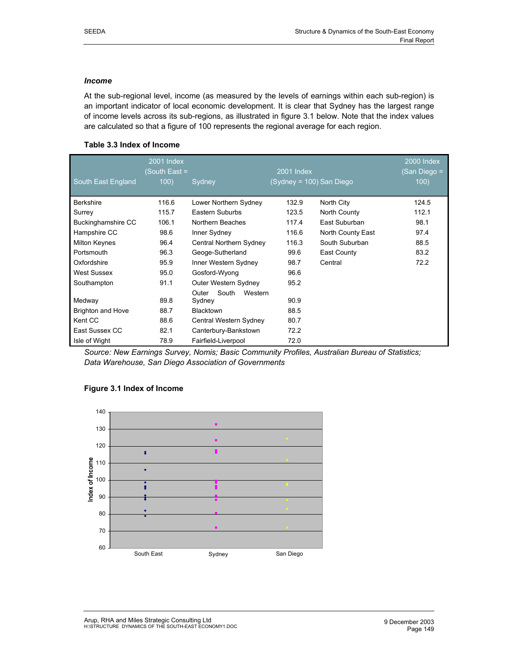### *Income*

At the sub-regional level, income (as measured by the levels of earnings within each sub-region) is an important indicator of local economic development. It is clear that Sydney has the largest range of income levels across its sub-regions, as illustrated in figure 3.1 below. Note that the index values are calculated so that a figure of 100 represents the regional average for each region.

# **Table 3.3 Index of Income**

|                          | 2001 Index    |                           |                          |                   | 2000 Index  |
|--------------------------|---------------|---------------------------|--------------------------|-------------------|-------------|
|                          | (South East = |                           | <b>2001 Index</b>        |                   | San Diego = |
| South East England       | 100)          | Sydney                    | (Sydney = 100) San Diego |                   | 100)        |
|                          |               |                           |                          |                   |             |
| <b>Berkshire</b>         | 116.6         | Lower Northern Sydney     | 132.9                    | North City        | 124.5       |
| Surrey                   | 115.7         | Eastern Suburbs           | 123.5                    | North County      | 112.1       |
| Buckinghamshire CC       | 106.1         | Northern Beaches          | 117.4                    | East Suburban     | 98.1        |
| Hampshire CC             | 98.6          | Inner Sydney              | 116.6                    | North County East | 97.4        |
| Milton Keynes            | 96.4          | Central Northern Sydney   | 116.3                    | South Suburban    | 88.5        |
| Portsmouth               | 96.3          | Geoge-Sutherland          | 99.6                     | East County       | 83.2        |
| Oxfordshire              | 95.9          | Inner Western Sydney      | 98.7                     | Central           | 72.2        |
| <b>West Sussex</b>       | 95.0          | Gosford-Wyong             | 96.6                     |                   |             |
| Southampton              | 91.1          | Outer Western Sydney      | 95.2                     |                   |             |
|                          |               | South<br>Western<br>Outer |                          |                   |             |
| Medway                   | 89.8          | Sydney                    | 90.9                     |                   |             |
| <b>Brighton and Hove</b> | 88.7          | Blacktown                 | 88.5                     |                   |             |
| Kent CC                  | 88.6          | Central Western Sydney    | 80.7                     |                   |             |
| East Sussex CC           | 82.1          | Canterbury-Bankstown      | 72.2                     |                   |             |
| Isle of Wight            | 78.9          | Fairfield-Liverpool       | 72.0                     |                   |             |

*Source: New Earnings Survey, Nomis; Basic Community Profiles, Australian Bureau of Statistics; Data Warehouse, San Diego Association of Governments* 

## **Figure 3.1 Index of Income**

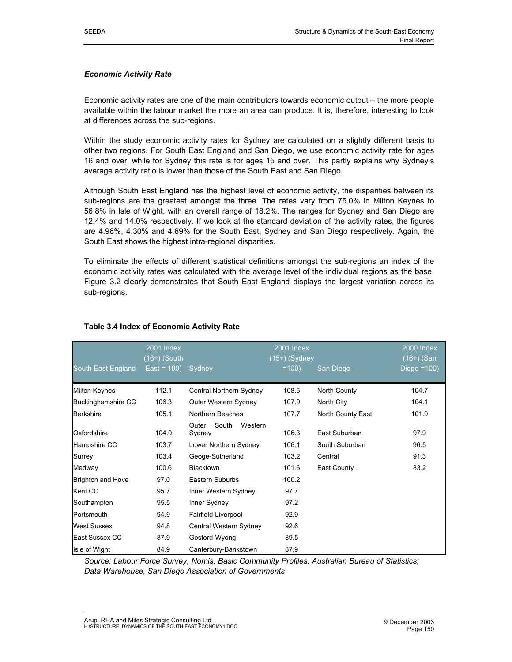#### *Economic Activity Rate*

Economic activity rates are one of the main contributors towards economic output – the more people available within the labour market the more an area can produce. It is, therefore, interesting to look at differences across the sub-regions.

Within the study economic activity rates for Sydney are calculated on a slightly different basis to other two regions. For South East England and San Diego, we use economic activity rate for ages 16 and over, while for Sydney this rate is for ages 15 and over. This partly explains why Sydney's average activity ratio is lower than those of the South East and San Diego.

Although South East England has the highest level of economic activity, the disparities between its sub-regions are the greatest amongst the three. The rates vary from 75.0% in Milton Keynes to 56.8% in Isle of Wight, with an overall range of 18.2%. The ranges for Sydney and San Diego are 12.4% and 14.0% respectively. If we look at the standard deviation of the activity rates, the figures are 4.96%, 4.30% and 4.69% for the South East, Sydney and San Diego respectively. Again, the South East shows the highest intra-regional disparities.

To eliminate the effects of different statistical definitions amongst the sub-regions an index of the economic activity rates was calculated with the average level of the individual regions as the base. Figure 3.2 clearly demonstrates that South East England displays the largest variation across its sub-regions.

|                          | <b>2001 Index</b><br>$(16+)$ (South |                                     | 2001 Index<br>$(15+)$ (Sydney |                   | 2000 Index<br>(16+) (San |
|--------------------------|-------------------------------------|-------------------------------------|-------------------------------|-------------------|--------------------------|
| South East England       | $East = 100$                        | <b>Sydney</b>                       | $=100$                        | San Diego         | Diego $=100$ )           |
| <b>Milton Keynes</b>     | 112.1                               | Central Northern Sydney             | 108.5                         | North County      | 104.7                    |
| Buckinghamshire CC       | 106.3                               | Outer Western Sydney                | 107.9                         | North City        | 104.1                    |
| <b>Berkshire</b>         | 105.1                               | Northern Beaches                    | 107.7                         | North County East | 101.9                    |
| Oxfordshire              | 104.0                               | South<br>Western<br>Outer<br>Sydney | 106.3                         | East Suburban     | 97.9                     |
| Hampshire CC             | 103.7                               | Lower Northern Sydney               | 106.1                         | South Suburban    | 96.5                     |
| Surrey                   | 103.4                               | Geoge-Sutherland                    | 103.2                         | Central           | 91.3                     |
| Medway                   | 100.6                               | Blacktown                           | 101.6                         | East County       | 83.2                     |
| <b>Brighton and Hove</b> | 97.0                                | Eastern Suburbs                     | 100.2                         |                   |                          |
| Kent CC                  | 95.7                                | Inner Western Sydney                | 97.7                          |                   |                          |
| Southampton              | 95.5                                | Inner Sydney                        | 97.2                          |                   |                          |
| Portsmouth               | 94.9                                | Fairfield-Liverpool                 | 92.9                          |                   |                          |
| West Sussex              | 94.8                                | Central Western Sydney              | 92.6                          |                   |                          |
| East Sussex CC           | 87.9                                | Gosford-Wyong                       | 89.5                          |                   |                          |
| Isle of Wight            | 84.9                                | Canterbury-Bankstown                | 87.9                          |                   |                          |

#### **Table 3.4 Index of Economic Activity Rate**

*Source: Labour Force Survey, Nomis; Basic Community Profiles, Australian Bureau of Statistics; Data Warehouse, San Diego Association of Governments*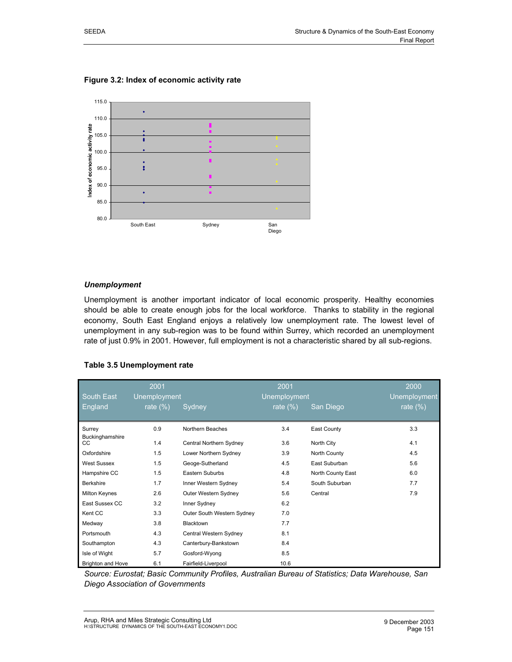

**Figure 3.2: Index of economic activity rate** 

#### *Unemployment*

Unemployment is another important indicator of local economic prosperity. Healthy economies should be able to create enough jobs for the local workforce. Thanks to stability in the regional economy, South East England enjoys a relatively low unemployment rate. The lowest level of unemployment in any sub-region was to be found within Surrey, which recorded an unemployment rate of just 0.9% in 2001. However, full employment is not a characteristic shared by all sub-regions.

#### **Table 3.5 Unemployment rate**

| South East                | 2001<br>Unemployment |                            | 2001<br><b>Unemployment</b> |                   | 2000<br><b>Unemployment</b> |
|---------------------------|----------------------|----------------------------|-----------------------------|-------------------|-----------------------------|
| <b>England</b>            | rate $(\%)$          | Sydney                     | rate $\sqrt{(2)}$           | San Diego         | rate $(\%)$                 |
| Surrey<br>Buckinghamshire | 0.9                  | Northern Beaches           | 3.4                         | East County       | 3.3                         |
| CC                        | 1.4                  | Central Northern Sydney    | 3.6                         | North City        | 4.1                         |
| Oxfordshire               | 1.5                  | Lower Northern Sydney      | 3.9                         | North County      | 4.5                         |
| West Sussex               | 1.5                  | Geoge-Sutherland           | 4.5                         | East Suburban     | 5.6                         |
| Hampshire CC              | 1.5                  | Eastern Suburbs            | 4.8                         | North County East | 6.0                         |
| Berkshire                 | 1.7                  | Inner Western Sydney       | 5.4                         | South Suburban    | 7.7                         |
| Milton Keynes             | 2.6                  | Outer Western Sydney       | 5.6                         | Central           | 7.9                         |
| East Sussex CC            | 3.2                  | Inner Sydney               | 6.2                         |                   |                             |
| Kent CC                   | 3.3                  | Outer South Western Sydney | 7.0                         |                   |                             |
| Medway                    | 3.8                  | Blacktown                  | 7.7                         |                   |                             |
| Portsmouth                | 4.3                  | Central Western Sydney     | 8.1                         |                   |                             |
| Southampton               | 4.3                  | Canterbury-Bankstown       | 8.4                         |                   |                             |
| Isle of Wight             | 5.7                  | Gosford-Wyong              | 8.5                         |                   |                             |
| <b>Brighton and Hove</b>  | 6.1                  | Fairfield-Liverpool        | 10.6                        |                   |                             |

*Source: Eurostat; Basic Community Profiles, Australian Bureau of Statistics; Data Warehouse, San Diego Association of Governments*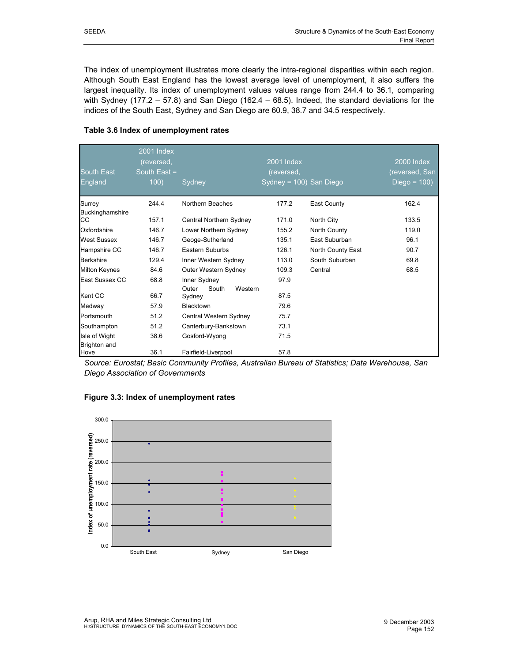The index of unemployment illustrates more clearly the intra-regional disparities within each region. Although South East England has the lowest average level of unemployment, it also suffers the largest inequality. Its index of unemployment values values range from 244.4 to 36.1, comparing with Sydney (177.2 – 57.8) and San Diego (162.4 – 68.5). Indeed, the standard deviations for the indices of the South East, Sydney and San Diego are 60.9, 38.7 and 34.5 respectively.

#### **Table 3.6 Index of unemployment rates**

|                               | 2001 Index<br>(reversed, | 2001 Index                          |                            |                   | <b>2000 Index</b> |
|-------------------------------|--------------------------|-------------------------------------|----------------------------|-------------------|-------------------|
| <b>South East</b>             | South East =             |                                     | (reversed,                 |                   | (reversed, San    |
| <b>England</b>                | 100)                     | Sydney                              | $Sy$ dney = 100) San Diego |                   | Diego = $100$ )   |
| Surrey                        | 244.4                    | Northern Beaches                    | 177.2                      | East County       | 162.4             |
| Buckinghamshire<br>CС         | 157.1                    | Central Northern Sydney             | 171.0                      | North City        | 133.5             |
| Oxfordshire                   | 146.7                    | Lower Northern Sydney               | 155.2                      | North County      | 119.0             |
| <b>West Sussex</b>            | 146.7                    | Geoge-Sutherland                    | 135.1                      | East Suburban     | 96.1              |
| Hampshire CC                  | 146.7                    | Eastern Suburbs                     | 126.1                      | North County East | 90.7              |
| <b>Berkshire</b>              | 129.4                    | Inner Western Sydney                | 113.0                      | South Suburban    | 69.8              |
| <b>Milton Keynes</b>          | 84.6                     | Outer Western Sydney                | 109.3                      | Central           | 68.5              |
| East Sussex CC                | 68.8                     | Inner Sydney                        | 97.9                       |                   |                   |
| Kent CC                       | 66.7                     | Outer<br>South<br>Western<br>Sydney | 87.5                       |                   |                   |
| Medway                        | 57.9                     | <b>Blacktown</b>                    | 79.6                       |                   |                   |
| Portsmouth                    | 51.2                     | Central Western Sydney              | 75.7                       |                   |                   |
| Southampton                   | 51.2                     | Canterbury-Bankstown                | 73.1                       |                   |                   |
| Isle of Wight<br>Brighton and | 38.6                     | Gosford-Wyong                       | 71.5                       |                   |                   |
| Hove                          | 36.1                     | Fairfield-Liverpool                 | 57.8                       |                   |                   |

*Source: Eurostat; Basic Community Profiles, Australian Bureau of Statistics; Data Warehouse, San Diego Association of Governments* 



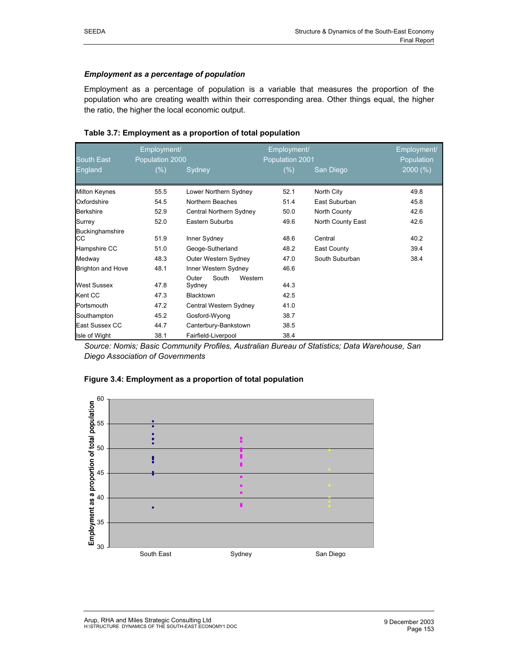# *Employment as a percentage of population*

Employment as a percentage of population is a variable that measures the proportion of the population who are creating wealth within their corresponding area. Other things equal, the higher the ratio, the higher the local economic output.

|                              | Employment/     |                                     | Employment/     |                   | Employment/ |
|------------------------------|-----------------|-------------------------------------|-----------------|-------------------|-------------|
| <b>South East</b>            | Population 2000 |                                     | Population 2001 |                   | Population  |
| England                      | $(\% )$         | Sydney                              | $(\%)$          | San Diego         | 2000(%)     |
| Milton Keynes                | 55.5            | Lower Northern Sydney               | 52.1            | North City        | 49.8        |
| Oxfordshire                  | 54.5            | Northern Beaches                    | 51.4            | East Suburban     | 45.8        |
| <b>Berkshire</b>             | 52.9            | Central Northern Sydney             | 50.0            | North County      | 42.6        |
| Surrey                       | 52.0            | Eastern Suburbs                     | 49.6            | North County East | 42.6        |
| Buckinghamshire<br><b>CC</b> | 51.9            | Inner Sydney                        | 48.6            | Central           | 40.2        |
| Hampshire CC                 | 51.0            | Geoge-Sutherland                    | 48.2            | East County       | 39.4        |
| Medway                       | 48.3            | Outer Western Sydney                | 47.0            | South Suburban    | 38.4        |
| <b>Brighton and Hove</b>     | 48.1            | Inner Western Sydney                | 46.6            |                   |             |
| <b>West Sussex</b>           | 47.8            | South<br>Outer<br>Western<br>Sydney | 44.3            |                   |             |
| Kent CC                      | 47.3            | Blacktown                           | 42.5            |                   |             |
| Portsmouth                   | 47.2            | Central Western Sydney              | 41.0            |                   |             |
| Southampton                  | 45.2            | Gosford-Wyong                       | 38.7            |                   |             |
| East Sussex CC               | 44.7            | Canterbury-Bankstown                | 38.5            |                   |             |
| Isle of Wight                | 38.1            | Fairfield-Liverpool                 | 38.4            |                   |             |

### **Table 3.7: Employment as a proportion of total population**

*Source: Nomis; Basic Community Profiles, Australian Bureau of Statistics; Data Warehouse, San Diego Association of Governments* 



## **Figure 3.4: Employment as a proportion of total population**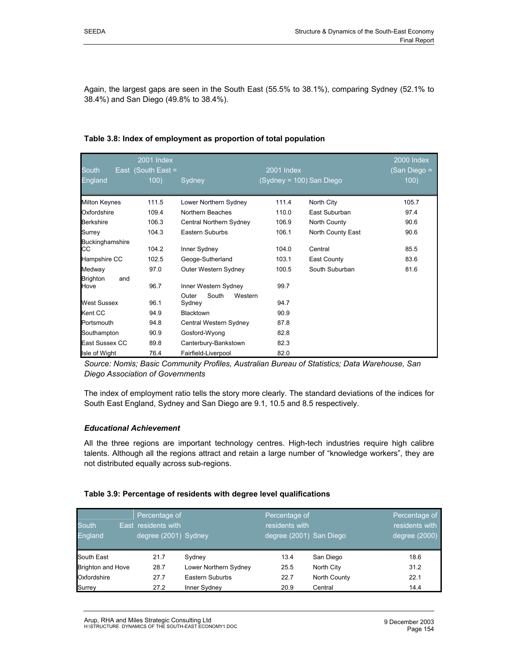Again, the largest gaps are seen in the South East (55.5% to 38.1%), comparing Sydney (52.1% to 38.4%) and San Diego (49.8% to 38.4%).

| South                          | <b>2001 Index</b><br>East (South East = |                                                   | 2001 Index               |                   | <b>2000 Index</b><br>(San Diego = |
|--------------------------------|-----------------------------------------|---------------------------------------------------|--------------------------|-------------------|-----------------------------------|
| England                        | 100)                                    | Sydney                                            | (Sydney = 100) San Diego |                   | 100)                              |
| <b>Milton Keynes</b>           | 111.5                                   | Lower Northern Sydney                             | 111.4                    | North City        | 105.7                             |
| Oxfordshire                    | 109.4                                   | Northern Beaches                                  | 110.0                    | East Suburban     | 97.4                              |
| <b>Berkshire</b>               | 106.3                                   | Central Northern Sydney                           | 106.9                    | North County      | 90.6                              |
| Surrey                         | 104.3                                   | Eastern Suburbs                                   | 106.1                    | North County East | 90.6                              |
| Buckinghamshire<br>CС          | 104.2                                   | Inner Sydney                                      | 104.0                    | Central           | 85.5                              |
| Hampshire CC                   | 102.5                                   | Geoge-Sutherland                                  | 103.1                    | East County       | 83.6                              |
| Medway                         | 97.0                                    | Outer Western Sydney                              | 100.5                    | South Suburban    | 81.6                              |
| <b>Brighton</b><br>and<br>Hove | 96.7                                    | Inner Western Sydney<br>South<br>Outer<br>Western | 99.7                     |                   |                                   |
| <b>West Sussex</b>             | 96.1                                    | Sydney                                            | 94.7                     |                   |                                   |
| Kent CC                        | 94.9                                    | <b>Blacktown</b>                                  | 90.9                     |                   |                                   |
| Portsmouth                     | 94.8                                    | Central Western Sydney                            | 87.8                     |                   |                                   |
| Southampton                    | 90.9                                    | Gosford-Wyong                                     | 82.8                     |                   |                                   |
| East Sussex CC                 | 89.8                                    | Canterbury-Bankstown                              | 82.3                     |                   |                                   |
| Isle of Wight                  | 76.4                                    | Fairfield-Liverpool                               | 82.0                     |                   |                                   |

#### **Table 3.8: Index of employment as proportion of total population**

*Source: Nomis; Basic Community Profiles, Australian Bureau of Statistics; Data Warehouse, San Diego Association of Governments* 

The index of employment ratio tells the story more clearly. The standard deviations of the indices for South East England, Sydney and San Diego are 9.1, 10.5 and 8.5 respectively.

#### *Educational Achievement*

All the three regions are important technology centres. High-tech industries require high calibre talents. Although all the regions attract and retain a large number of "knowledge workers", they are not distributed equally across sub-regions.

#### **Table 3.9: Percentage of residents with degree level qualifications**

| <b>South</b><br><b>England</b> | Percentage of<br>East residents with<br>degree (2001) Sydney |                       | Percentage of<br>residents with<br>degree (2001) San Diego |              | Percentage of<br>residents with<br>degree (2000) |
|--------------------------------|--------------------------------------------------------------|-----------------------|------------------------------------------------------------|--------------|--------------------------------------------------|
| South East                     | 21.7                                                         | Sydney                | 13.4                                                       | San Diego    | 18.6                                             |
| <b>Brighton and Hove</b>       | 28.7                                                         | Lower Northern Sydney | 25.5                                                       | North City   | 31.2                                             |
| Oxfordshire                    | 27.7                                                         | Eastern Suburbs       | 22.7                                                       | North County | 22.1                                             |
| Surrey                         | 27.2                                                         | Inner Sydney          | 20.9                                                       | Central      | 14.4                                             |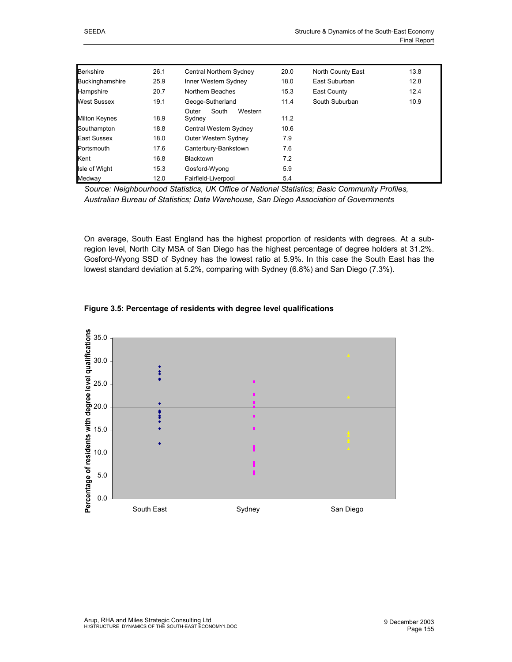| <b>Berkshire</b>       | 26.1 | Central Northern Sydney             | 20.0 | <b>North County East</b> | 13.8 |
|------------------------|------|-------------------------------------|------|--------------------------|------|
| <b>Buckinghamshire</b> | 25.9 | Inner Western Sydney                | 18.0 | East Suburban            | 12.8 |
| Hampshire              | 20.7 | Northern Beaches                    | 15.3 | East County              | 12.4 |
| West Sussex            | 19.1 | Geoge-Sutherland                    | 11.4 | South Suburban           | 10.9 |
| <b>Milton Keynes</b>   | 18.9 | Western<br>South<br>Outer<br>Sydney | 11.2 |                          |      |
| Southampton            | 18.8 | Central Western Sydney              | 10.6 |                          |      |
| East Sussex            | 18.0 | Outer Western Sydney                | 7.9  |                          |      |
| Portsmouth             | 17.6 | Canterbury-Bankstown                | 7.6  |                          |      |
| Kent                   | 16.8 | <b>Blacktown</b>                    | 7.2  |                          |      |
| Isle of Wight          | 15.3 | Gosford-Wyong                       | 5.9  |                          |      |
| Medway                 | 12.0 | Fairfield-Liverpool                 | 5.4  |                          |      |

*Source: Neighbourhood Statistics, UK Office of National Statistics; Basic Community Profiles, Australian Bureau of Statistics; Data Warehouse, San Diego Association of Governments* 

On average, South East England has the highest proportion of residents with degrees. At a subregion level, North City MSA of San Diego has the highest percentage of degree holders at 31.2%. Gosford-Wyong SSD of Sydney has the lowest ratio at 5.9%. In this case the South East has the lowest standard deviation at 5.2%, comparing with Sydney (6.8%) and San Diego (7.3%).



#### **Figure 3.5: Percentage of residents with degree level qualifications**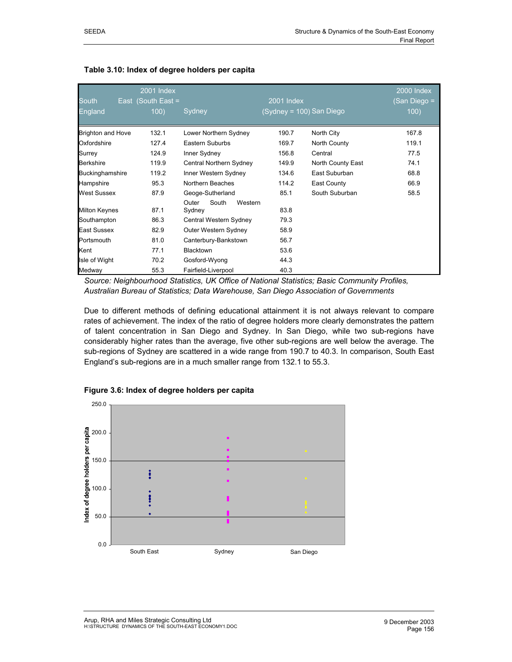| <b>South</b>             | <b>2001 Index</b><br>East (South East = |                                     | $2001$ Index             |                   | <b>2000 Index</b><br>(San Diego = |
|--------------------------|-----------------------------------------|-------------------------------------|--------------------------|-------------------|-----------------------------------|
| England                  | 100)                                    | Sydney                              | (Sydney = 100) San Diego |                   | 100)                              |
| <b>Brighton and Hove</b> | 132.1                                   | Lower Northern Sydney               | 190.7                    | North City        | 167.8                             |
| Oxfordshire              | 127.4                                   | Eastern Suburbs                     | 169.7                    | North County      | 119.1                             |
| Surrey                   | 124.9                                   | Inner Sydney                        | 156.8                    | Central           | 77.5                              |
| <b>Berkshire</b>         | 119.9                                   | Central Northern Sydney             | 149.9                    | North County East | 74.1                              |
| Buckinghamshire          | 119.2                                   | Inner Western Sydney                | 134.6                    | East Suburban     | 68.8                              |
| Hampshire                | 95.3                                    | Northern Beaches                    | 114.2                    | East County       | 66.9                              |
| West Sussex              | 87.9                                    | Geoge-Sutherland                    | 85.1                     | South Suburban    | 58.5                              |
| <b>Milton Keynes</b>     | 87.1                                    | South<br>Outer<br>Western<br>Sydney | 83.8                     |                   |                                   |
| Southampton              | 86.3                                    | Central Western Sydney              | 79.3                     |                   |                                   |
| East Sussex              | 82.9                                    | Outer Western Sydney                | 58.9                     |                   |                                   |
| Portsmouth               | 81.0                                    | Canterbury-Bankstown                | 56.7                     |                   |                                   |
| Kent                     | 77.1                                    | Blacktown                           | 53.6                     |                   |                                   |
| Isle of Wight            | 70.2                                    | Gosford-Wyong                       | 44.3                     |                   |                                   |
| Medway                   | 55.3                                    | Fairfield-Liverpool                 | 40.3                     |                   |                                   |

### **Table 3.10: Index of degree holders per capita**

*Source: Neighbourhood Statistics, UK Office of National Statistics; Basic Community Profiles, Australian Bureau of Statistics; Data Warehouse, San Diego Association of Governments* 

Due to different methods of defining educational attainment it is not always relevant to compare rates of achievement. The index of the ratio of degree holders more clearly demonstrates the pattern of talent concentration in San Diego and Sydney. In San Diego, while two sub-regions have considerably higher rates than the average, five other sub-regions are well below the average. The sub-regions of Sydney are scattered in a wide range from 190.7 to 40.3. In comparison, South East England's sub-regions are in a much smaller range from 132.1 to 55.3.



**Figure 3.6: Index of degree holders per capita**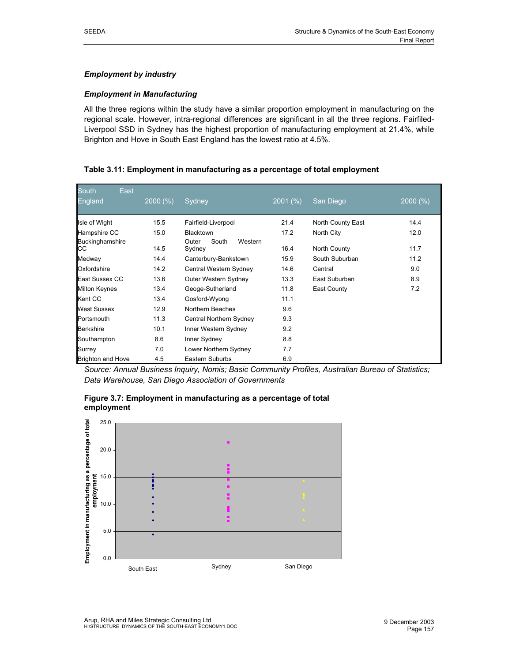### *Employment by industry*

#### *Employment in Manufacturing*

All the three regions within the study have a similar proportion employment in manufacturing on the regional scale. However, intra-regional differences are significant in all the three regions. Fairfiled-Liverpool SSD in Sydney has the highest proportion of manufacturing employment at 21.4%, while Brighton and Hove in South East England has the lowest ratio at 4.5%.

#### **Table 3.11: Employment in manufacturing as a percentage of total employment**

| South<br>East                |         |                                     |         |                   |         |
|------------------------------|---------|-------------------------------------|---------|-------------------|---------|
| England                      | 2000(%) | Sydney                              | 2001(%) | San Diego         | 2000(%) |
| Isle of Wight                | 15.5    | Fairfield-Liverpool                 | 21.4    | North County East | 14.4    |
| Hampshire CC                 | 15.0    | <b>Blacktown</b>                    | 17.2    | North City        | 12.0    |
| <b>Buckinghamshire</b><br>CС | 14.5    | South<br>Western<br>Outer<br>Sydney | 16.4    | North County      | 11.7    |
| Medway                       | 14.4    | Canterbury-Bankstown                | 15.9    | South Suburban    | 11.2    |
| Oxfordshire                  | 14.2    | Central Western Sydney              | 14.6    | Central           | 9.0     |
| East Sussex CC               | 13.6    | Outer Western Sydney                | 13.3    | East Suburban     | 8.9     |
| <b>Milton Keynes</b>         | 13.4    | Geoge-Sutherland                    | 11.8    | East County       | 7.2     |
| Kent CC                      | 13.4    | Gosford-Wyong                       | 11.1    |                   |         |
| <b>West Sussex</b>           | 12.9    | Northern Beaches                    | 9.6     |                   |         |
| Portsmouth                   | 11.3    | Central Northern Sydney             | 9.3     |                   |         |
| <b>Berkshire</b>             | 10.1    | Inner Western Sydney                | 9.2     |                   |         |
| Southampton                  | 8.6     | Inner Sydney                        | 8.8     |                   |         |
| Surrey                       | 7.0     | Lower Northern Sydney               | 7.7     |                   |         |
| <b>Brighton and Hove</b>     | 4.5     | Eastern Suburbs                     | 6.9     |                   |         |

*Source: Annual Business Inquiry, Nomis; Basic Community Profiles, Australian Bureau of Statistics; Data Warehouse, San Diego Association of Governments* 



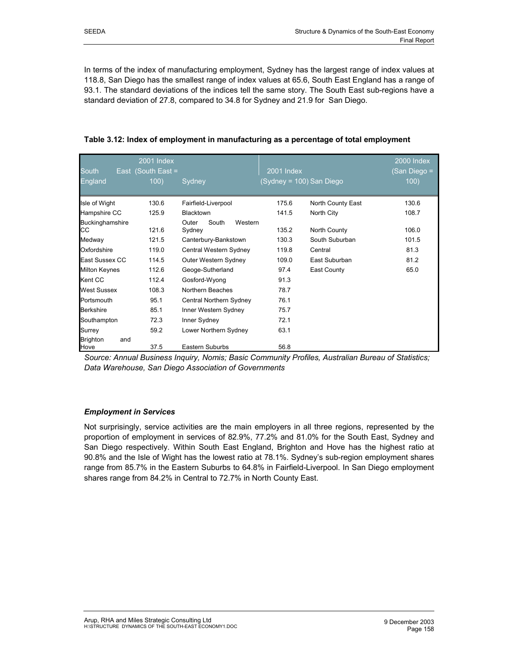In terms of the index of manufacturing employment, Sydney has the largest range of index values at 118.8, San Diego has the smallest range of index values at 65.6, South East England has a range of 93.1. The standard deviations of the indices tell the same story. The South East sub-regions have a standard deviation of 27.8, compared to 34.8 for Sydney and 21.9 for San Diego.

| South<br><b>England</b>        | 2001 Index<br>East (South East =<br>100) | Sydney                              | 2001 Index<br>(Sydney = 100) San Diego |                   | <b>2000 Index</b><br>(San Diego =<br>100) |
|--------------------------------|------------------------------------------|-------------------------------------|----------------------------------------|-------------------|-------------------------------------------|
| Isle of Wight                  | 130.6                                    | Fairfield-Liverpool                 | 175.6                                  | North County East | 130.6                                     |
| Hampshire CC                   | 125.9                                    | Blacktown                           | 141.5                                  | North City        | 108.7                                     |
| Buckinghamshire<br>CС          | 121.6                                    | South<br>Outer<br>Western<br>Sydney | 135.2                                  | North County      | 106.0                                     |
| Medway                         | 121.5                                    | Canterbury-Bankstown                | 130.3                                  | South Suburban    | 101.5                                     |
| Oxfordshire                    | 119.0                                    | Central Western Sydney              | 119.8                                  | Central           | 81.3                                      |
| East Sussex CC                 | 114.5                                    | Outer Western Sydney                | 109.0                                  | East Suburban     | 81.2                                      |
| <b>Milton Keynes</b>           | 112.6                                    | Geoge-Sutherland                    | 97.4                                   | East County       | 65.0                                      |
| Kent CC                        | 112.4                                    | Gosford-Wyong                       | 91.3                                   |                   |                                           |
| <b>West Sussex</b>             | 108.3                                    | Northern Beaches                    | 78.7                                   |                   |                                           |
| Portsmouth                     | 95.1                                     | Central Northern Sydney             | 76.1                                   |                   |                                           |
| <b>Berkshire</b>               | 85.1                                     | Inner Western Sydney                | 75.7                                   |                   |                                           |
| Southampton                    | 72.3                                     | Inner Sydney                        | 72.1                                   |                   |                                           |
| Surrey                         | 59.2                                     | Lower Northern Sydney               | 63.1                                   |                   |                                           |
| <b>Brighton</b><br>and<br>Hove | 37.5                                     | <b>Eastern Suburbs</b>              | 56.8                                   |                   |                                           |

| Table 3.12: Index of employment in manufacturing as a percentage of total employment |  |
|--------------------------------------------------------------------------------------|--|
|                                                                                      |  |

*Source: Annual Business Inquiry, Nomis; Basic Community Profiles, Australian Bureau of Statistics; Data Warehouse, San Diego Association of Governments* 

## *Employment in Services*

Not surprisingly, service activities are the main employers in all three regions, represented by the proportion of employment in services of 82.9%, 77.2% and 81.0% for the South East, Sydney and San Diego respectively. Within South East England, Brighton and Hove has the highest ratio at 90.8% and the Isle of Wight has the lowest ratio at 78.1%. Sydney's sub-region employment shares range from 85.7% in the Eastern Suburbs to 64.8% in Fairfield-Liverpool. In San Diego employment shares range from 84.2% in Central to 72.7% in North County East.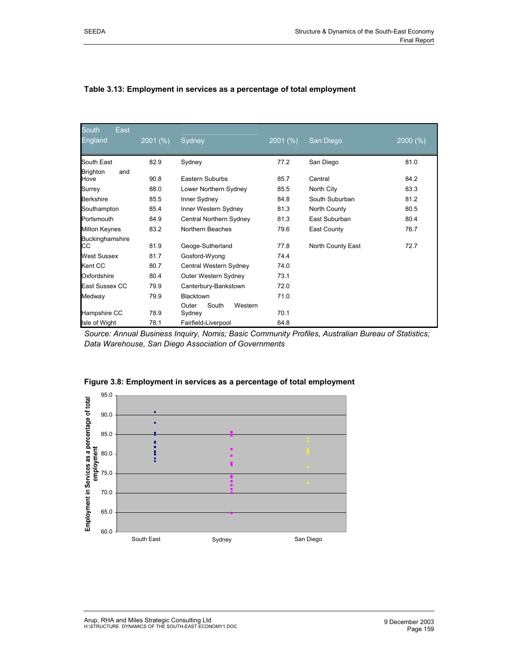| <b>South</b><br>East<br>England | $2001\ (%)$ | Sydney                    | $2001\ (%)$ | San Diego         | 2000(%) |
|---------------------------------|-------------|---------------------------|-------------|-------------------|---------|
| South East                      | 82.9        | Sydney                    | 77.2        | San Diego         | 81.0    |
| <b>Brighton</b><br>and          |             |                           |             |                   |         |
| Hove                            | 90.8        | Eastern Suburbs           | 85.7        | Central           | 84.2    |
| Surrey                          | 88.0        | Lower Northern Sydney     | 85.5        | North City        | 83.3    |
| <b>Berkshire</b>                | 85.5        | Inner Sydney              | 84.8        | South Suburban    | 81.2    |
| Southampton                     | 85.4        | Inner Western Sydney      | 81.3        | North County      | 80.5    |
| Portsmouth                      | 84.9        | Central Northern Sydney   | 81.3        | East Suburban     | 80.4    |
| <b>Milton Keynes</b>            | 83.2        | Northern Beaches          | 79.6        | East County       | 76.7    |
| Buckinghamshire                 |             |                           |             |                   |         |
| CС                              | 81.9        | Geoge-Sutherland          | 77.8        | North County East | 72.7    |
| <b>West Sussex</b>              | 81.7        | Gosford-Wyong             | 74.4        |                   |         |
| Kent CC                         | 80.7        | Central Western Sydney    | 74.0        |                   |         |
| Oxfordshire                     | 80.4        | Outer Western Sydney      | 73.1        |                   |         |
| East Sussex CC                  | 79.9        | Canterbury-Bankstown      | 72.0        |                   |         |
| Medway                          | 79.9        | <b>Blacktown</b>          | 71.0        |                   |         |
|                                 |             | South<br>Outer<br>Western |             |                   |         |
| Hampshire CC                    | 78.9        | Sydney                    | 70.1        |                   |         |
| Isle of Wight                   | 78.1        | Fairfield-Liverpool       | 64.8        |                   |         |

#### **Table 3.13: Employment in services as a percentage of total employment**

*Source: Annual Business Inquiry, Nomis; Basic Community Profiles, Australian Bureau of Statistics; Data Warehouse, San Diego Association of Governments* 



**Figure 3.8: Employment in services as a percentage of total employment**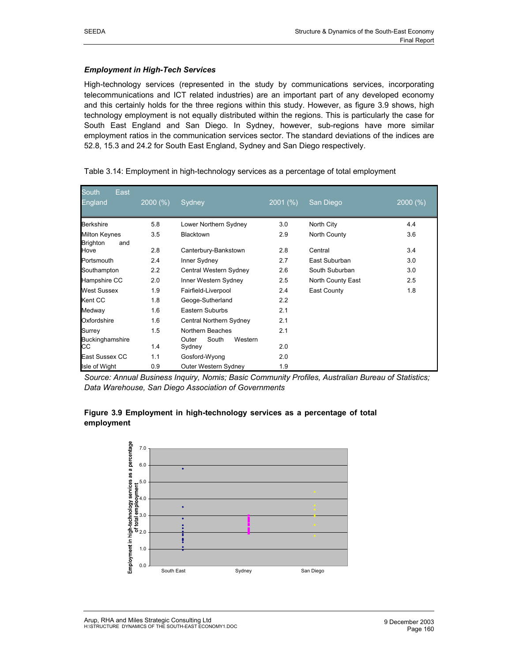#### *Employment in High-Tech Services*

High-technology services (represented in the study by communications services, incorporating telecommunications and ICT related industries) are an important part of any developed economy and this certainly holds for the three regions within this study. However, as figure 3.9 shows, high technology employment is not equally distributed within the regions. This is particularly the case for South East England and San Diego. In Sydney, however, sub-regions have more similar employment ratios in the communication services sector. The standard deviations of the indices are 52.8, 15.3 and 24.2 for South East England, Sydney and San Diego respectively.

| South<br>East                           |         |                                     |             |                   |         |
|-----------------------------------------|---------|-------------------------------------|-------------|-------------------|---------|
| England                                 | 2000(%) | Sydney                              | $2001\ (%)$ | San Diego         | 2000(%) |
| <b>Berkshire</b>                        | 5.8     | Lower Northern Sydney               | 3.0         | North City        | 4.4     |
| Milton Keynes<br><b>Brighton</b><br>and | 3.5     | <b>Blacktown</b>                    | 2.9         | North County      | 3.6     |
| Hove                                    | 2.8     | Canterbury-Bankstown                | 2.8         | Central           | 3.4     |
| Portsmouth                              | 2.4     | Inner Sydney                        | 2.7         | East Suburban     | 3.0     |
| Southampton                             | 2.2     | Central Western Sydney              | 2.6         | South Suburban    | 3.0     |
| Hampshire CC                            | 2.0     | Inner Western Sydney                | 2.5         | North County East | 2.5     |
| <b>West Sussex</b>                      | 1.9     | Fairfield-Liverpool                 | 2.4         | East County       | 1.8     |
| Kent CC                                 | 1.8     | Geoge-Sutherland                    | 2.2         |                   |         |
| Medway                                  | 1.6     | Eastern Suburbs                     | 2.1         |                   |         |
| Oxfordshire                             | 1.6     | Central Northern Sydney             | 2.1         |                   |         |
| Surrey                                  | 1.5     | Northern Beaches                    | 2.1         |                   |         |
| Buckinghamshire<br>CС                   | 1.4     | South<br>Western<br>Outer<br>Sydney | 2.0         |                   |         |
| East Sussex CC                          | 1.1     | Gosford-Wyong                       | 2.0         |                   |         |
| Isle of Wight                           | 0.9     | Outer Western Sydney                | 1.9         |                   |         |

Table 3.14: Employment in high-technology services as a percentage of total employment

*Source: Annual Business Inquiry, Nomis; Basic Community Profiles, Australian Bureau of Statistics; Data Warehouse, San Diego Association of Governments*



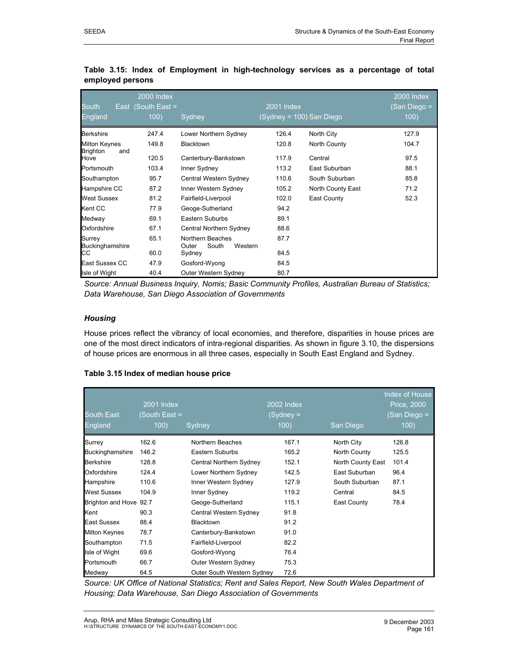|                                                | <b>2000 Index</b>  |                                               |                          |                   | 2000 Index  |
|------------------------------------------------|--------------------|-----------------------------------------------|--------------------------|-------------------|-------------|
| <b>South</b>                                   | East (South East = |                                               | 2001 Index               |                   | San Diego = |
| England                                        | 100)               | Sydney                                        | (Sydney = 100) San Diego |                   | 100)        |
| <b>Berkshire</b>                               | 247.4              | Lower Northern Sydney                         | 126.4                    | North City        | 127.9       |
| <b>Milton Keynes</b><br><b>Brighton</b><br>and | 149.8              | <b>Blacktown</b>                              | 120.8                    | North County      | 104.7       |
| Hove                                           | 120.5              | Canterbury-Bankstown                          | 117.9                    | Central           | 97.5        |
| Portsmouth                                     | 103.4              | Inner Sydney                                  | 113.2                    | East Suburban     | 88.1        |
| Southampton                                    | 95.7               | Central Western Sydney                        | 110.6                    | South Suburban    | 85.8        |
| Hampshire CC                                   | 87.2               | Inner Western Sydney                          | 105.2                    | North County East | 71.2        |
| <b>West Sussex</b>                             | 81.2               | Fairfield-Liverpool                           | 102.0                    | East County       | 52.3        |
| Kent CC                                        | 77.9               | Geoge-Sutherland                              | 94.2                     |                   |             |
| Medway                                         | 69.1               | Eastern Suburbs                               | 89.1                     |                   |             |
| Oxfordshire                                    | 67.1               | Central Northern Sydney                       | 88.6                     |                   |             |
| Surrey<br>Buckinghamshire                      | 65.1               | Northern Beaches<br>South<br>Western<br>Outer | 87.7                     |                   |             |
| СC                                             | 60.0               | Sydney                                        | 84.5                     |                   |             |
| East Sussex CC                                 | 47.9               | Gosford-Wyong                                 | 84.5                     |                   |             |
| Isle of Wight                                  | 40.4               | Outer Western Sydney                          | 80.7                     |                   |             |

#### **Table 3.15: Index of Employment in high-technology services as a percentage of total employed persons**

*Source: Annual Business Inquiry, Nomis; Basic Community Profiles, Australian Bureau of Statistics; Data Warehouse, San Diego Association of Governments*

#### *Housing*

House prices reflect the vibrancy of local economies, and therefore, disparities in house prices are one of the most direct indicators of intra-regional disparities. As shown in figure 3.10, the dispersions of house prices are enormous in all three cases, especially in South East England and Sydney.

#### **Table 3.15 Index of median house price**

|                        |               |                            |            |                   | Index of House |
|------------------------|---------------|----------------------------|------------|-------------------|----------------|
|                        | 2001 Index    |                            | 2002 Index |                   | Price, 2000    |
| <b>South East</b>      | (South East = |                            | (Sydney =  |                   | (San Diego =   |
| England                | 100)          | Sydney                     | 100)       | San Diego         | 100)           |
| Surrey                 | 162.6         | Northern Beaches           | 167.1      | North City        | 126.8          |
| Buckinghamshire        | 146.2         | Eastern Suburbs            | 165.2      | North County      | 125.5          |
| <b>Berkshire</b>       | 128.8         | Central Northern Sydney    | 152.1      | North County East | 101.4          |
| Oxfordshire            | 124.4         | Lower Northern Sydney      | 142.5      | East Suburban     | 96.4           |
| Hampshire              | 110.6         | Inner Western Sydney       | 127.9      | South Suburban    | 87.1           |
| <b>West Sussex</b>     | 104.9         | Inner Sydney               | 119.2      | Central           | 84.5           |
| Brighton and Hove 92.7 |               | Geoge-Sutherland           | 115.1      | East County       | 78.4           |
| Kent                   | 90.3          | Central Western Sydney     | 91.8       |                   |                |
| <b>East Sussex</b>     | 88.4          | Blacktown                  | 91.2       |                   |                |
| <b>Milton Keynes</b>   | 78.7          | Canterbury-Bankstown       | 91.0       |                   |                |
| Southampton            | 71.5          | Fairfield-Liverpool        | 82.2       |                   |                |
| Isle of Wight          | 69.6          | Gosford-Wyong              | 76.4       |                   |                |
| Portsmouth             | 66.7          | Outer Western Sydney       | 75.3       |                   |                |
| Medway                 | 64.5          | Outer South Western Sydney | 72.6       |                   |                |

*Source: UK Office of National Statistics; Rent and Sales Report, New South Wales Department of Housing; Data Warehouse, San Diego Association of Governments*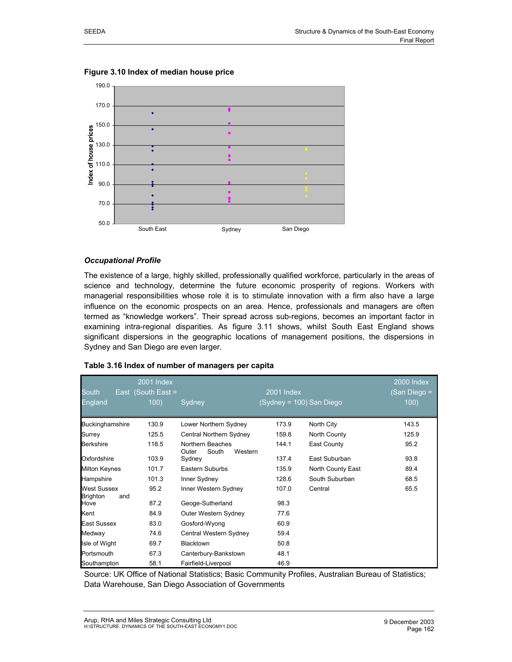

#### **Figure 3.10 Index of median house price**

#### *Occupational Profile*

The existence of a large, highly skilled, professionally qualified workforce, particularly in the areas of science and technology, determine the future economic prosperity of regions. Workers with managerial responsibilities whose role it is to stimulate innovation with a firm also have a large influence on the economic prospects on an area. Hence, professionals and managers are often termed as "knowledge workers". Their spread across sub-regions, becomes an important factor in examining intra-regional disparities. As figure 3.11 shows, whilst South East England shows significant dispersions in the geographic locations of management positions, the dispersions in Sydney and San Diego are even larger.

|                                       | <b>2001 Index</b>  |                                               |                          |                   | <b>2000 Index</b> |
|---------------------------------------|--------------------|-----------------------------------------------|--------------------------|-------------------|-------------------|
| <b>South</b>                          | East (South East = |                                               | 2001 Index               |                   | San Diego =       |
| England                               | 100)               | Sydney                                        | (Sydney = 100) San Diego |                   | 100)              |
| Buckinghamshire                       | 130.9              | Lower Northern Sydney                         | 173.9                    | North City        | 143.5             |
| Surrey                                | 125.5              | Central Northern Sydney                       | 159.8                    | North County      | 125.9             |
| <b>Berkshire</b>                      | 118.5              | Northern Beaches<br>South<br>Western<br>Outer | 144.1                    | East County       | 95.2              |
| Oxfordshire                           | 103.9              | Sydney                                        | 137.4                    | East Suburban     | 93.8              |
| <b>Milton Keynes</b>                  | 101.7              | Eastern Suburbs                               | 135.9                    | North County East | 89.4              |
| Hampshire                             | 101.3              | Inner Sydney                                  | 128.6                    | South Suburban    | 68.5              |
| West Sussex<br><b>Brighton</b><br>and | 95.2               | Inner Western Sydney                          | 107.0                    | Central           | 65.5              |
| Hove                                  | 87.2               | Geoge-Sutherland                              | 98.3                     |                   |                   |
| Kent                                  | 84.9               | Outer Western Sydney                          | 77.6                     |                   |                   |
| <b>East Sussex</b>                    | 83.0               | Gosford-Wyong                                 | 60.9                     |                   |                   |
| Medway                                | 74.6               | Central Western Sydney                        | 59.4                     |                   |                   |
| Isle of Wight                         | 69.7               | Blacktown                                     | 50.8                     |                   |                   |
| Portsmouth                            | 67.3               | Canterbury-Bankstown                          | 48.1                     |                   |                   |
| Southampton                           | 58.1               | Fairfield-Liverpool                           | 46.9                     |                   |                   |

#### **Table 3.16 Index of number of managers per capita**

Source: UK Office of National Statistics; Basic Community Profiles, Australian Bureau of Statistics; Data Warehouse, San Diego Association of Governments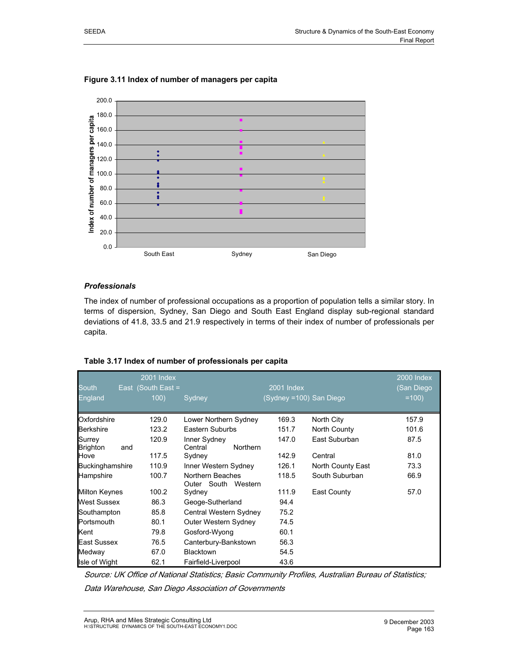

### **Figure 3.11 Index of number of managers per capita**

#### *Professionals*

The index of number of professional occupations as a proportion of population tells a similar story. In terms of dispersion, Sydney, San Diego and South East England display sub-regional standard deviations of 41.8, 33.5 and 21.9 respectively in terms of their index of number of professionals per capita.

| <b>South</b><br>England   |     | 2001 Index<br>East $\sqrt{\frac{3}{1}}$ (South East =<br>100) | Sydney                                     | 2001 Index<br>(Sydney =100) San Diego |                   | 2000 Index<br>(San Diego<br>$=100$ |
|---------------------------|-----|---------------------------------------------------------------|--------------------------------------------|---------------------------------------|-------------------|------------------------------------|
| Oxfordshire               |     | 129.0                                                         | Lower Northern Sydney                      | 169.3                                 | North City        | 157.9                              |
| <b>Berkshire</b>          |     | 123.2                                                         | Eastern Suburbs                            | 151.7                                 | North County      | 101.6                              |
| Surrey<br><b>Brighton</b> | and | 120.9                                                         | Inner Sydney<br>Central<br><b>Northern</b> | 147.0                                 | East Suburban     | 87.5                               |
| Hove                      |     | 117.5                                                         | Sydney                                     | 142.9                                 | Central           | 81.0                               |
| <b>Buckinghamshire</b>    |     | 110.9                                                         | Inner Western Sydney                       | 126.1                                 | North County East | 73.3                               |
| Hampshire                 |     | 100.7                                                         | Northern Beaches<br>Outer South Western    | 118.5                                 | South Suburban    | 66.9                               |
| <b>Milton Keynes</b>      |     | 100.2                                                         | Sydney                                     | 111.9                                 | East County       | 57.0                               |
| <b>West Sussex</b>        |     | 86.3                                                          | Geoge-Sutherland                           | 94.4                                  |                   |                                    |
| Southampton               |     | 85.8                                                          | Central Western Sydney                     | 75.2                                  |                   |                                    |
| Portsmouth                |     | 80.1                                                          | Outer Western Sydney                       | 74.5                                  |                   |                                    |
| Kent                      |     | 79.8                                                          | Gosford-Wyong                              | 60.1                                  |                   |                                    |
| <b>East Sussex</b>        |     | 76.5                                                          | Canterbury-Bankstown                       | 56.3                                  |                   |                                    |
| Medway                    |     | 67.0                                                          | Blacktown                                  | 54.5                                  |                   |                                    |
| Isle of Wight             |     | 62.1                                                          | Fairfield-Liverpool                        | 43.6                                  |                   |                                    |

#### **Table 3.17 Index of number of professionals per capita**

Source: UK Office of National Statistics; Basic Community Profiles, Australian Bureau of Statistics;

Data Warehouse, San Diego Association of Governments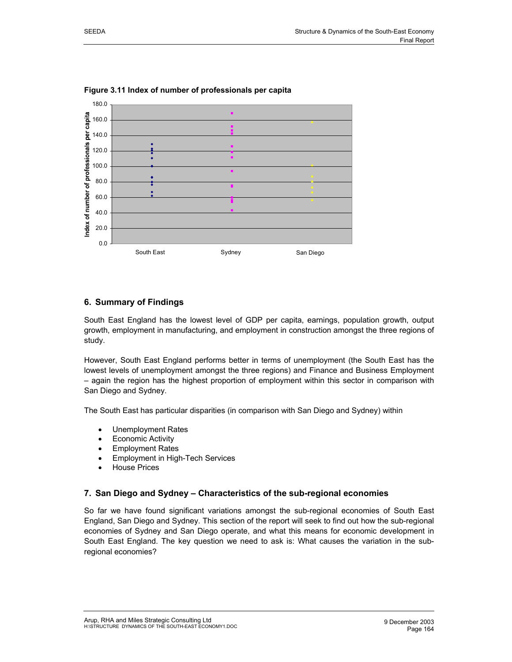

**Figure 3.11 Index of number of professionals per capita** 

# **6. Summary of Findings**

South East England has the lowest level of GDP per capita, earnings, population growth, output growth, employment in manufacturing, and employment in construction amongst the three regions of study.

However, South East England performs better in terms of unemployment (the South East has the lowest levels of unemployment amongst the three regions) and Finance and Business Employment – again the region has the highest proportion of employment within this sector in comparison with San Diego and Sydney.

The South East has particular disparities (in comparison with San Diego and Sydney) within

- Unemployment Rates
- Economic Activity
- Employment Rates
- Employment in High-Tech Services
- House Prices

## **7. San Diego and Sydney – Characteristics of the sub-regional economies**

So far we have found significant variations amongst the sub-regional economies of South East England, San Diego and Sydney. This section of the report will seek to find out how the sub-regional economies of Sydney and San Diego operate, and what this means for economic development in South East England. The key question we need to ask is: What causes the variation in the subregional economies?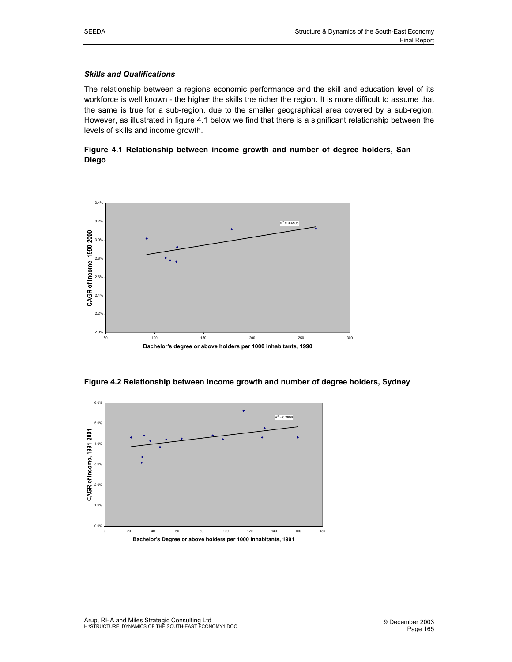#### *Skills and Qualifications*

The relationship between a regions economic performance and the skill and education level of its workforce is well known - the higher the skills the richer the region. It is more difficult to assume that the same is true for a sub-region, due to the smaller geographical area covered by a sub-region. However, as illustrated in figure 4.1 below we find that there is a significant relationship between the levels of skills and income growth.

### **Figure 4.1 Relationship between income growth and number of degree holders, San Diego**



**Figure 4.2 Relationship between income growth and number of degree holders, Sydney** 

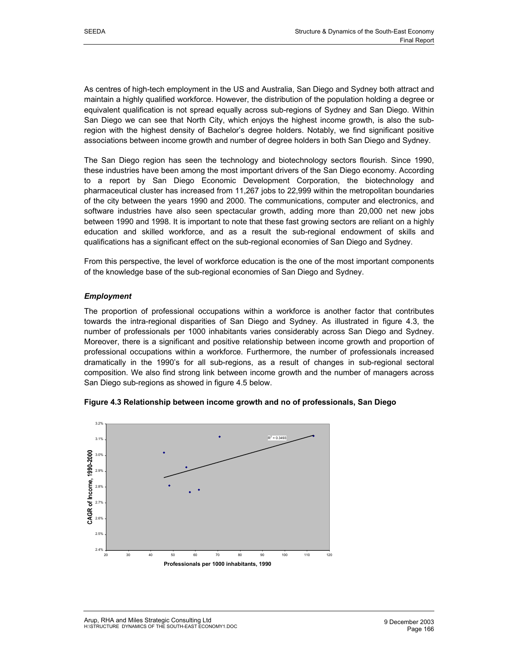As centres of high-tech employment in the US and Australia, San Diego and Sydney both attract and maintain a highly qualified workforce. However, the distribution of the population holding a degree or equivalent qualification is not spread equally across sub-regions of Sydney and San Diego. Within San Diego we can see that North City, which enjoys the highest income growth, is also the subregion with the highest density of Bachelor's degree holders. Notably, we find significant positive associations between income growth and number of degree holders in both San Diego and Sydney.

The San Diego region has seen the technology and biotechnology sectors flourish. Since 1990, these industries have been among the most important drivers of the San Diego economy. According to a report by San Diego Economic Development Corporation, the biotechnology and pharmaceutical cluster has increased from 11,267 jobs to 22,999 within the metropolitan boundaries of the city between the years 1990 and 2000. The communications, computer and electronics, and software industries have also seen spectacular growth, adding more than 20,000 net new jobs between 1990 and 1998. It is important to note that these fast growing sectors are reliant on a highly education and skilled workforce, and as a result the sub-regional endowment of skills and qualifications has a significant effect on the sub-regional economies of San Diego and Sydney.

From this perspective, the level of workforce education is the one of the most important components of the knowledge base of the sub-regional economies of San Diego and Sydney.

#### *Employment*

The proportion of professional occupations within a workforce is another factor that contributes towards the intra-regional disparities of San Diego and Sydney. As illustrated in figure 4.3, the number of professionals per 1000 inhabitants varies considerably across San Diego and Sydney. Moreover, there is a significant and positive relationship between income growth and proportion of professional occupations within a workforce. Furthermore, the number of professionals increased dramatically in the 1990's for all sub-regions, as a result of changes in sub-regional sectoral composition. We also find strong link between income growth and the number of managers across San Diego sub-regions as showed in figure 4.5 below.



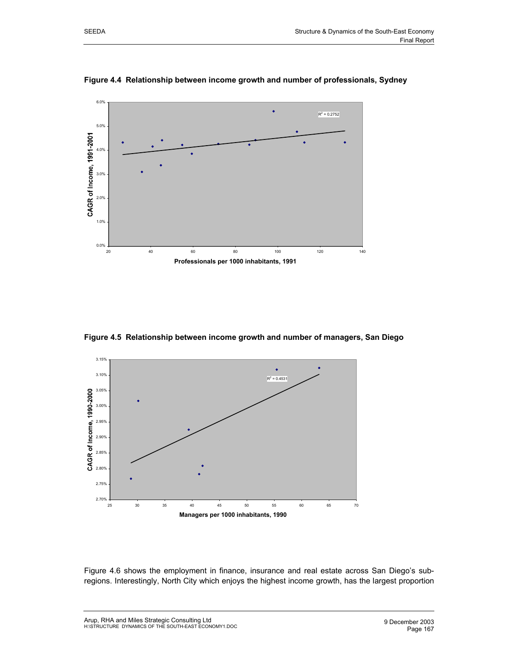

**Figure 4.4 Relationship between income growth and number of professionals, Sydney** 

**Figure 4.5 Relationship between income growth and number of managers, San Diego** 



Figure 4.6 shows the employment in finance, insurance and real estate across San Diego's subregions. Interestingly, North City which enjoys the highest income growth, has the largest proportion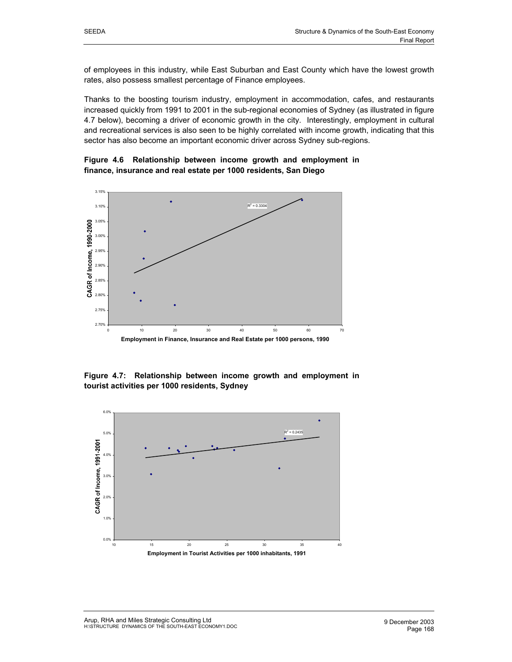of employees in this industry, while East Suburban and East County which have the lowest growth rates, also possess smallest percentage of Finance employees.

Thanks to the boosting tourism industry, employment in accommodation, cafes, and restaurants increased quickly from 1991 to 2001 in the sub-regional economies of Sydney (as illustrated in figure 4.7 below), becoming a driver of economic growth in the city. Interestingly, employment in cultural and recreational services is also seen to be highly correlated with income growth, indicating that this sector has also become an important economic driver across Sydney sub-regions.





**Figure 4.7: Relationship between income growth and employment in tourist activities per 1000 residents, Sydney** 

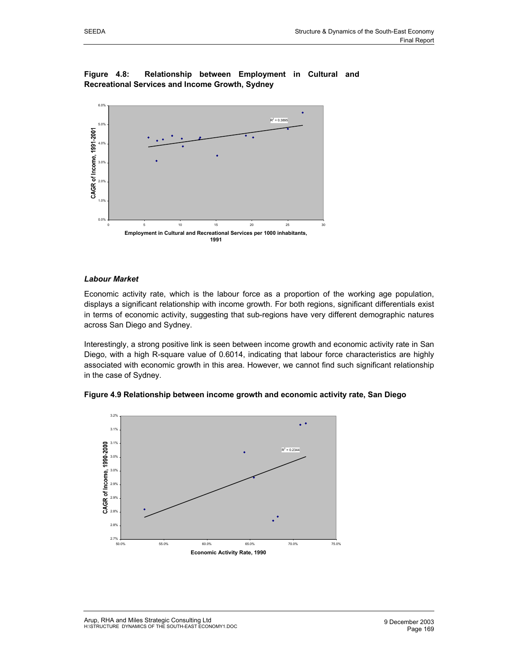### **Figure 4.8: Relationship between Employment in Cultural and Recreational Services and Income Growth, Sydney**



#### *Labour Market*

Economic activity rate, which is the labour force as a proportion of the working age population, displays a significant relationship with income growth. For both regions, significant differentials exist in terms of economic activity, suggesting that sub-regions have very different demographic natures across San Diego and Sydney.

Interestingly, a strong positive link is seen between income growth and economic activity rate in San Diego, with a high R-square value of 0.6014, indicating that labour force characteristics are highly associated with economic growth in this area. However, we cannot find such significant relationship in the case of Sydney.



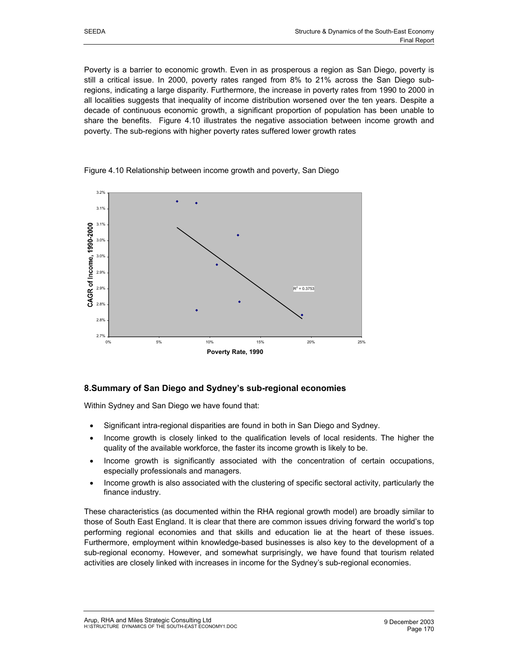Poverty is a barrier to economic growth. Even in as prosperous a region as San Diego, poverty is still a critical issue. In 2000, poverty rates ranged from 8% to 21% across the San Diego subregions, indicating a large disparity. Furthermore, the increase in poverty rates from 1990 to 2000 in all localities suggests that inequality of income distribution worsened over the ten years. Despite a decade of continuous economic growth, a significant proportion of population has been unable to share the benefits. Figure 4.10 illustrates the negative association between income growth and poverty. The sub-regions with higher poverty rates suffered lower growth rates



Figure 4.10 Relationship between income growth and poverty, San Diego

# **8.Summary of San Diego and Sydney's sub-regional economies**

Within Sydney and San Diego we have found that:

- Significant intra-regional disparities are found in both in San Diego and Sydney.
- Income growth is closely linked to the qualification levels of local residents. The higher the quality of the available workforce, the faster its income growth is likely to be.
- Income growth is significantly associated with the concentration of certain occupations, especially professionals and managers.
- Income growth is also associated with the clustering of specific sectoral activity, particularly the finance industry.

These characteristics (as documented within the RHA regional growth model) are broadly similar to those of South East England. It is clear that there are common issues driving forward the world's top performing regional economies and that skills and education lie at the heart of these issues. Furthermore, employment within knowledge-based businesses is also key to the development of a sub-regional economy. However, and somewhat surprisingly, we have found that tourism related activities are closely linked with increases in income for the Sydney's sub-regional economies.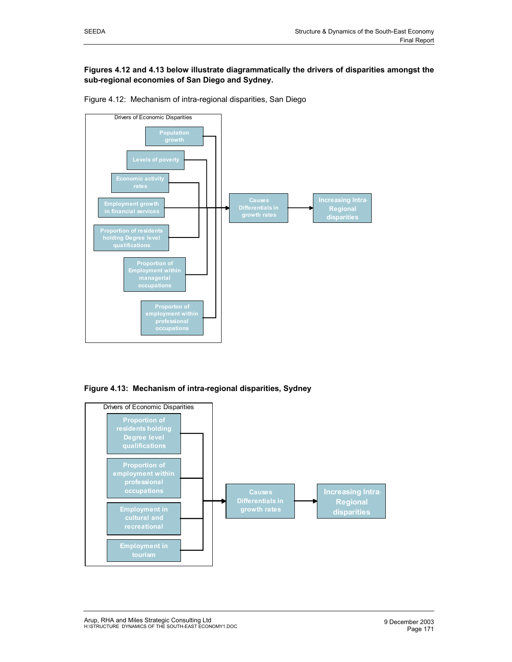#### **Figures 4.12 and 4.13 below illustrate diagrammatically the drivers of disparities amongst the sub-regional economies of San Diego and Sydney.**





**Figure 4.13: Mechanism of intra-regional disparities, Sydney** 

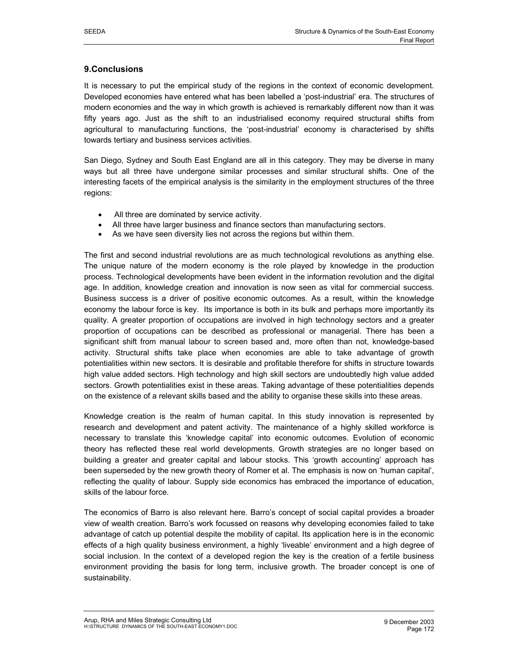# **9.Conclusions**

It is necessary to put the empirical study of the regions in the context of economic development. Developed economies have entered what has been labelled a 'post-industrial' era. The structures of modern economies and the way in which growth is achieved is remarkably different now than it was fifty years ago. Just as the shift to an industrialised economy required structural shifts from agricultural to manufacturing functions, the 'post-industrial' economy is characterised by shifts towards tertiary and business services activities.

San Diego, Sydney and South East England are all in this category. They may be diverse in many ways but all three have undergone similar processes and similar structural shifts. One of the interesting facets of the empirical analysis is the similarity in the employment structures of the three regions:

- All three are dominated by service activity.
- All three have larger business and finance sectors than manufacturing sectors.
- As we have seen diversity lies not across the regions but within them.

The first and second industrial revolutions are as much technological revolutions as anything else. The unique nature of the modern economy is the role played by knowledge in the production process. Technological developments have been evident in the information revolution and the digital age. In addition, knowledge creation and innovation is now seen as vital for commercial success. Business success is a driver of positive economic outcomes. As a result, within the knowledge economy the labour force is key. Its importance is both in its bulk and perhaps more importantly its quality. A greater proportion of occupations are involved in high technology sectors and a greater proportion of occupations can be described as professional or managerial. There has been a significant shift from manual labour to screen based and, more often than not, knowledge-based activity. Structural shifts take place when economies are able to take advantage of growth potentialities within new sectors. It is desirable and profitable therefore for shifts in structure towards high value added sectors. High technology and high skill sectors are undoubtedly high value added sectors. Growth potentialities exist in these areas. Taking advantage of these potentialities depends on the existence of a relevant skills based and the ability to organise these skills into these areas.

Knowledge creation is the realm of human capital. In this study innovation is represented by research and development and patent activity. The maintenance of a highly skilled workforce is necessary to translate this 'knowledge capital' into economic outcomes. Evolution of economic theory has reflected these real world developments. Growth strategies are no longer based on building a greater and greater capital and labour stocks. This 'growth accounting' approach has been superseded by the new growth theory of Romer et al. The emphasis is now on 'human capital', reflecting the quality of labour. Supply side economics has embraced the importance of education, skills of the labour force.

The economics of Barro is also relevant here. Barro's concept of social capital provides a broader view of wealth creation. Barro's work focussed on reasons why developing economies failed to take advantage of catch up potential despite the mobility of capital. Its application here is in the economic effects of a high quality business environment, a highly 'liveable' environment and a high degree of social inclusion. In the context of a developed region the key is the creation of a fertile business environment providing the basis for long term, inclusive growth. The broader concept is one of sustainability.